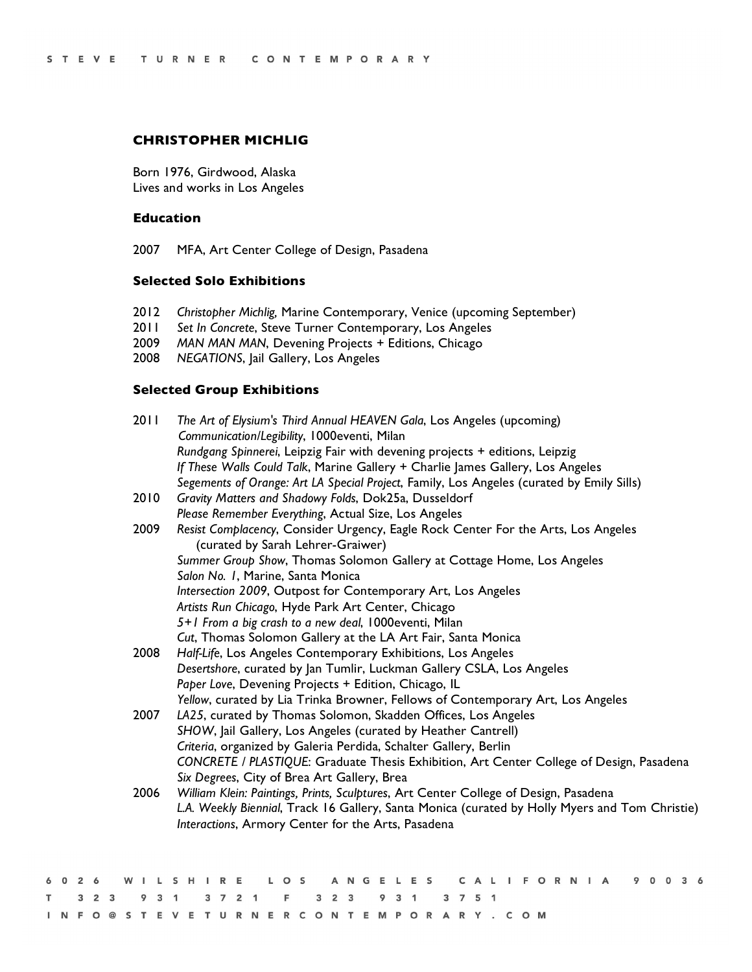## **CHRISTOPHER MICHLIG**

Born 1976, Girdwood, Alaska Lives and works in Los Angeles

### **Education**

2007 MFA, Art Center College of Design, Pasadena

# **Selected Solo Exhibitions**

- 2012 *Christopher Michlig,* Marine Contemporary, Venice (upcoming September)
- 2011 *Set In Concrete*, Steve Turner Contemporary, Los Angeles
- 2009 *MAN MAN MAN*, Devening Projects + Editions, Chicago
- 2008 *NEGATIONS*, Jail Gallery, Los Angeles

### **Selected Group Exhibitions**

| 2011 | The Art of Elysium's Third Annual HEAVEN Gala, Los Angeles (upcoming)                                                                                |
|------|------------------------------------------------------------------------------------------------------------------------------------------------------|
|      | Communication/Legibility, 1000eventi, Milan                                                                                                          |
|      | Rundgang Spinnerei, Leipzig Fair with devening projects + editions, Leipzig                                                                          |
|      | If These Walls Could Talk, Marine Gallery + Charlie James Gallery, Los Angeles                                                                       |
|      | Segements of Orange: Art LA Special Project, Family, Los Angeles (curated by Emily Sills)                                                            |
| 2010 | Gravity Matters and Shadowy Folds, Dok25a, Dusseldorf                                                                                                |
|      | Please Remember Everything, Actual Size, Los Angeles                                                                                                 |
| 2009 | Resist Complacency, Consider Urgency, Eagle Rock Center For the Arts, Los Angeles<br>(curated by Sarah Lehrer-Graiwer)                               |
|      | Summer Group Show, Thomas Solomon Gallery at Cottage Home, Los Angeles                                                                               |
|      | Salon No. 1, Marine, Santa Monica                                                                                                                    |
|      | Intersection 2009, Outpost for Contemporary Art, Los Angeles                                                                                         |
|      | Artists Run Chicago, Hyde Park Art Center, Chicago                                                                                                   |
|      | 5+1 From a big crash to a new deal, 1000 eventi, Milan                                                                                               |
|      | Cut, Thomas Solomon Gallery at the LA Art Fair, Santa Monica                                                                                         |
| 2008 | Half-Life, Los Angeles Contemporary Exhibitions, Los Angeles                                                                                         |
|      | Desertshore, curated by Jan Tumlir, Luckman Gallery CSLA, Los Angeles                                                                                |
|      | Paper Love, Devening Projects + Edition, Chicago, IL                                                                                                 |
|      | Yellow, curated by Lia Trinka Browner, Fellows of Contemporary Art, Los Angeles                                                                      |
| 2007 | LA25, curated by Thomas Solomon, Skadden Offices, Los Angeles                                                                                        |
|      | SHOW, Jail Gallery, Los Angeles (curated by Heather Cantrell)                                                                                        |
|      | Criteria, organized by Galeria Perdida, Schalter Gallery, Berlin                                                                                     |
|      | CONCRETE / PLASTIQUE: Graduate Thesis Exhibition, Art Center College of Design, Pasadena                                                             |
|      | Six Degrees, City of Brea Art Gallery, Brea                                                                                                          |
| 2006 | William Klein: Paintings, Prints, Sculptures, Art Center College of Design, Pasadena                                                                 |
|      | L.A. Weekly Biennial, Track 16 Gallery, Santa Monica (curated by Holly Myers and Tom Christie)<br>Interactions, Armory Center for the Arts, Pasadena |
|      |                                                                                                                                                      |

|  |  |  |  |  |  |                                             |  |  |  |  |  |  |  |  |  |  | 6026 WILSHIRE LOS ANGELES CALIFORNIA 90036 |  |  |  |
|--|--|--|--|--|--|---------------------------------------------|--|--|--|--|--|--|--|--|--|--|--------------------------------------------|--|--|--|
|  |  |  |  |  |  | T 3 2 3 9 3 1 3 7 2 1 F 3 2 3 9 3 1 3 7 5 1 |  |  |  |  |  |  |  |  |  |  |                                            |  |  |  |
|  |  |  |  |  |  | INFO@STEVETURNERCONTEMPORARY.COM            |  |  |  |  |  |  |  |  |  |  |                                            |  |  |  |